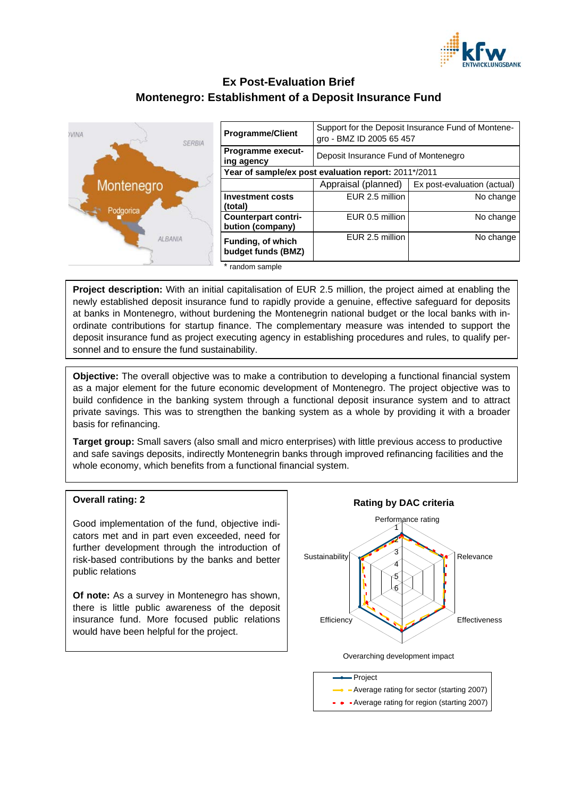

# **Ex Post-Evaluation Brief Montenegro: Establishment of a Deposit Insurance Fund**



| <b>Programme/Client</b>                              | Support for the Deposit Insurance Fund of Montene-<br>gro - BMZ ID 2005 65 457 |                             |
|------------------------------------------------------|--------------------------------------------------------------------------------|-----------------------------|
| <b>Programme execut-</b><br>ing agency               | Deposit Insurance Fund of Montenegro                                           |                             |
| Year of sample/ex post evaluation report: 2011*/2011 |                                                                                |                             |
|                                                      | Appraisal (planned)                                                            | Ex post-evaluation (actual) |
| <b>Investment costs</b><br>(total)                   | EUR 2.5 million                                                                | No change                   |
| <b>Counterpart contri-</b><br>bution (company)       | EUR 0.5 million                                                                | No change                   |
| Funding, of which<br>budget funds (BMZ)              | EUR 2.5 million                                                                | No change                   |
| * random sample                                      |                                                                                |                             |

**Project description:** With an initial capitalisation of EUR 2.5 million, the project aimed at enabling the newly established deposit insurance fund to rapidly provide a genuine, effective safeguard for deposits at banks in Montenegro, without burdening the Montenegrin national budget or the local banks with inordinate contributions for startup finance. The complementary measure was intended to support the deposit insurance fund as project executing agency in establishing procedures and rules, to qualify personnel and to ensure the fund sustainability.

**Objective:** The overall objective was to make a contribution to developing a functional financial system as a major element for the future economic development of Montenegro. The project objective was to build confidence in the banking system through a functional deposit insurance system and to attract private savings. This was to strengthen the banking system as a whole by providing it with a broader basis for refinancing.

**Target group:** Small savers (also small and micro enterprises) with little previous access to productive and safe savings deposits, indirectly Montenegrin banks through improved refinancing facilities and the whole economy, which benefits from a functional financial system.

#### **Overall rating: 2**

Good implementation of the fund, objective indicators met and in part even exceeded, need for further development through the introduction of risk-based contributions by the banks and better public relations

**Of note:** As a survey in Montenegro has shown, there is little public awareness of the deposit insurance fund. More focused public relations would have been helpful for the project.



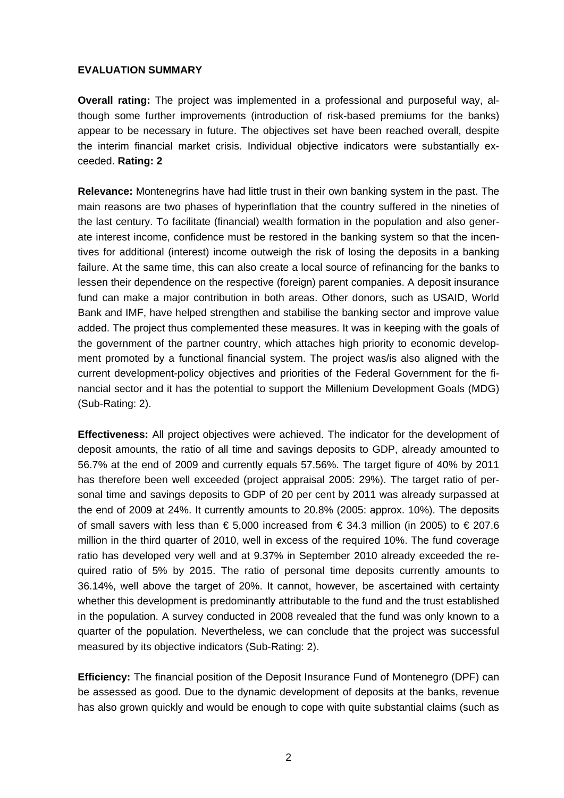### **EVALUATION SUMMARY**

**Overall rating:** The project was implemented in a professional and purposeful way, although some further improvements (introduction of risk-based premiums for the banks) appear to be necessary in future. The objectives set have been reached overall, despite the interim financial market crisis. Individual objective indicators were substantially exceeded. **Rating: 2**

**Relevance:** Montenegrins have had little trust in their own banking system in the past. The main reasons are two phases of hyperinflation that the country suffered in the nineties of the last century. To facilitate (financial) wealth formation in the population and also generate interest income, confidence must be restored in the banking system so that the incentives for additional (interest) income outweigh the risk of losing the deposits in a banking failure. At the same time, this can also create a local source of refinancing for the banks to lessen their dependence on the respective (foreign) parent companies. A deposit insurance fund can make a major contribution in both areas. Other donors, such as USAID, World Bank and IMF, have helped strengthen and stabilise the banking sector and improve value added. The project thus complemented these measures. It was in keeping with the goals of the government of the partner country, which attaches high priority to economic development promoted by a functional financial system. The project was/is also aligned with the current development-policy objectives and priorities of the Federal Government for the financial sector and it has the potential to support the Millenium Development Goals (MDG) (Sub-Rating: 2).

**Effectiveness:** All project objectives were achieved. The indicator for the development of deposit amounts, the ratio of all time and savings deposits to GDP, already amounted to 56.7% at the end of 2009 and currently equals 57.56%. The target figure of 40% by 2011 has therefore been well exceeded (project appraisal 2005: 29%). The target ratio of personal time and savings deposits to GDP of 20 per cent by 2011 was already surpassed at the end of 2009 at 24%. It currently amounts to 20.8% (2005: approx. 10%). The deposits of small savers with less than € 5,000 increased from € 34.3 million (in 2005) to € 207.6 million in the third quarter of 2010, well in excess of the required 10%. The fund coverage ratio has developed very well and at 9.37% in September 2010 already exceeded the required ratio of 5% by 2015. The ratio of personal time deposits currently amounts to 36.14%, well above the target of 20%. It cannot, however, be ascertained with certainty whether this development is predominantly attributable to the fund and the trust established in the population. A survey conducted in 2008 revealed that the fund was only known to a quarter of the population. Nevertheless, we can conclude that the project was successful measured by its objective indicators (Sub-Rating: 2).

**Efficiency:** The financial position of the Deposit Insurance Fund of Montenegro (DPF) can be assessed as good. Due to the dynamic development of deposits at the banks, revenue has also grown quickly and would be enough to cope with quite substantial claims (such as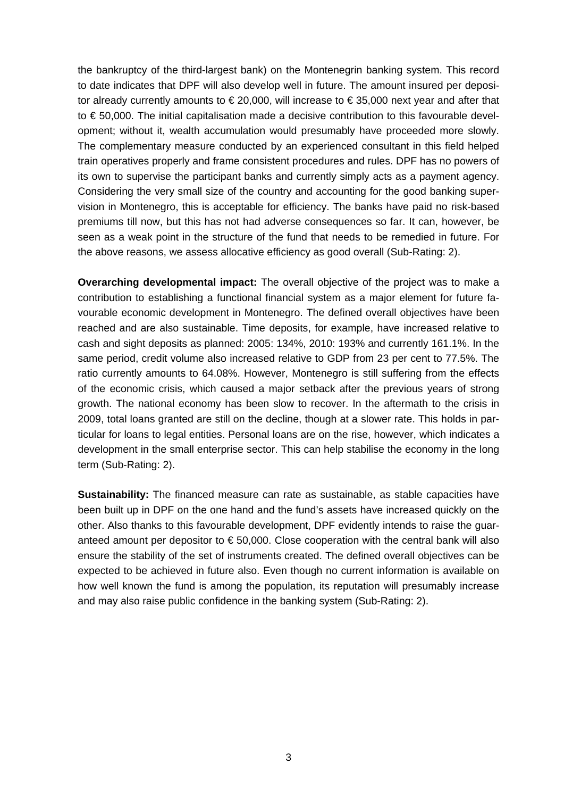the bankruptcy of the third-largest bank) on the Montenegrin banking system. This record to date indicates that DPF will also develop well in future. The amount insured per depositor already currently amounts to  $\epsilon$  20,000, will increase to  $\epsilon$  35,000 next year and after that to € 50,000. The initial capitalisation made a decisive contribution to this favourable development; without it, wealth accumulation would presumably have proceeded more slowly. The complementary measure conducted by an experienced consultant in this field helped train operatives properly and frame consistent procedures and rules. DPF has no powers of its own to supervise the participant banks and currently simply acts as a payment agency. Considering the very small size of the country and accounting for the good banking supervision in Montenegro, this is acceptable for efficiency. The banks have paid no risk-based premiums till now, but this has not had adverse consequences so far. It can, however, be seen as a weak point in the structure of the fund that needs to be remedied in future. For the above reasons, we assess allocative efficiency as good overall (Sub-Rating: 2).

**Overarching developmental impact:** The overall objective of the project was to make a contribution to establishing a functional financial system as a major element for future favourable economic development in Montenegro. The defined overall objectives have been reached and are also sustainable. Time deposits, for example, have increased relative to cash and sight deposits as planned: 2005: 134%, 2010: 193% and currently 161.1%. In the same period, credit volume also increased relative to GDP from 23 per cent to 77.5%. The ratio currently amounts to 64.08%. However, Montenegro is still suffering from the effects of the economic crisis, which caused a major setback after the previous years of strong growth. The national economy has been slow to recover. In the aftermath to the crisis in 2009, total loans granted are still on the decline, though at a slower rate. This holds in particular for loans to legal entities. Personal loans are on the rise, however, which indicates a development in the small enterprise sector. This can help stabilise the economy in the long term (Sub-Rating: 2).

**Sustainability:** The financed measure can rate as sustainable, as stable capacities have been built up in DPF on the one hand and the fund's assets have increased quickly on the other. Also thanks to this favourable development, DPF evidently intends to raise the guaranteed amount per depositor to  $\epsilon$  50,000. Close cooperation with the central bank will also ensure the stability of the set of instruments created. The defined overall objectives can be expected to be achieved in future also. Even though no current information is available on how well known the fund is among the population, its reputation will presumably increase and may also raise public confidence in the banking system (Sub-Rating: 2).